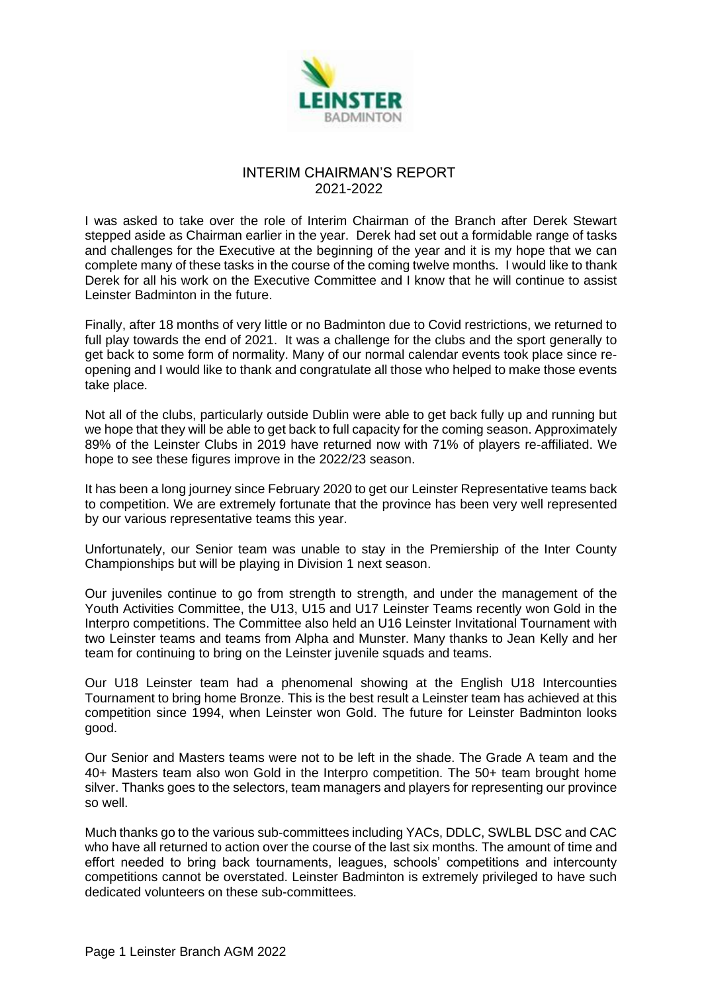

## INTERIM CHAIRMAN'S REPORT 2021-2022

I was asked to take over the role of Interim Chairman of the Branch after Derek Stewart stepped aside as Chairman earlier in the year. Derek had set out a formidable range of tasks and challenges for the Executive at the beginning of the year and it is my hope that we can complete many of these tasks in the course of the coming twelve months. I would like to thank Derek for all his work on the Executive Committee and I know that he will continue to assist Leinster Badminton in the future.

Finally, after 18 months of very little or no Badminton due to Covid restrictions, we returned to full play towards the end of 2021. It was a challenge for the clubs and the sport generally to get back to some form of normality. Many of our normal calendar events took place since reopening and I would like to thank and congratulate all those who helped to make those events take place.

Not all of the clubs, particularly outside Dublin were able to get back fully up and running but we hope that they will be able to get back to full capacity for the coming season. Approximately 89% of the Leinster Clubs in 2019 have returned now with 71% of players re-affiliated. We hope to see these figures improve in the 2022/23 season.

It has been a long journey since February 2020 to get our Leinster Representative teams back to competition. We are extremely fortunate that the province has been very well represented by our various representative teams this year.

Unfortunately, our Senior team was unable to stay in the Premiership of the Inter County Championships but will be playing in Division 1 next season.

Our juveniles continue to go from strength to strength, and under the management of the Youth Activities Committee, the U13, U15 and U17 Leinster Teams recently won Gold in the Interpro competitions. The Committee also held an U16 Leinster Invitational Tournament with two Leinster teams and teams from Alpha and Munster. Many thanks to Jean Kelly and her team for continuing to bring on the Leinster juvenile squads and teams.

Our U18 Leinster team had a phenomenal showing at the English U18 Intercounties Tournament to bring home Bronze. This is the best result a Leinster team has achieved at this competition since 1994, when Leinster won Gold. The future for Leinster Badminton looks good.

Our Senior and Masters teams were not to be left in the shade. The Grade A team and the 40+ Masters team also won Gold in the Interpro competition. The 50+ team brought home silver. Thanks goes to the selectors, team managers and players for representing our province so well.

Much thanks go to the various sub-committees including YACs, DDLC, SWLBL DSC and CAC who have all returned to action over the course of the last six months. The amount of time and effort needed to bring back tournaments, leagues, schools' competitions and intercounty competitions cannot be overstated. Leinster Badminton is extremely privileged to have such dedicated volunteers on these sub-committees.